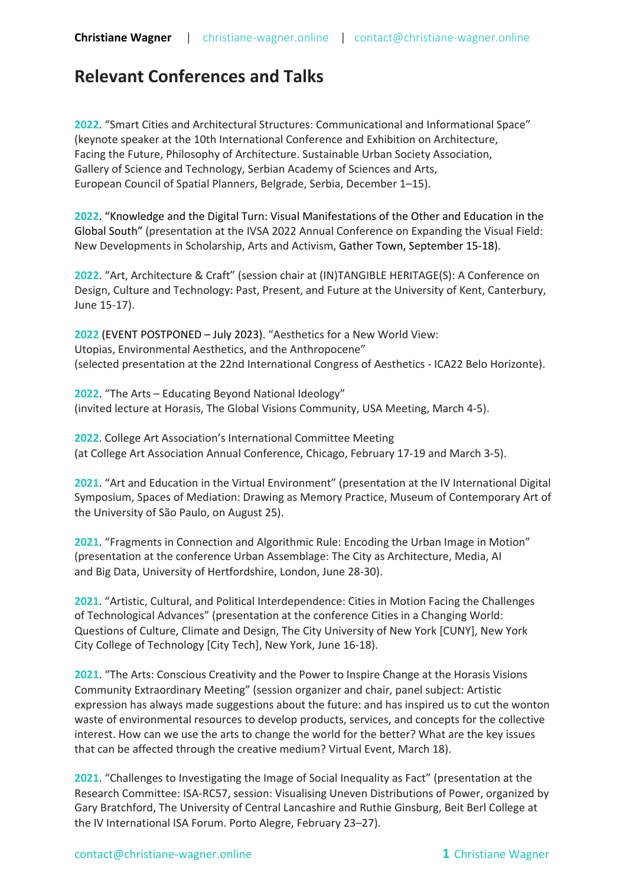## **Relevant Conferences and Talks**

**2022**. "Smart Cities and Architectural Structures: Communicational and Informational Space" (keynote speaker at the 10th International Conference and Exhibition on Architecture, Facing the Future, Philosophy of Architecture. Sustainable Urban Society Association, Gallery of Science and Technology, Serbian Academy of Sciences and Arts, European Council of Spatial Planners, Belgrade, Serbia, December 1–15).

**2022**. "Knowledge and the Digital Turn: Visual Manifestations of the Other and Education in the Global South" (presentation at the IVSA 2022 Annual Conference on Expanding the Visual Field: New Developments in Scholarship, Arts and Activism, Gather Town, September 15-18).

**2022**. "Art, Architecture & Craft" (session chair at (IN)TANGIBLE HERITAGE(S): A Conference on Design, Culture and Technology: Past, Present, and Future at the University of Kent, Canterbury, June 15-17).

**2022** (EVENT POSTPONED – July 2023). "Aesthetics for a New World View: Utopias, Environmental Aesthetics, and the Anthropocene" (selected presentation at the 22nd International Congress of Aesthetics - ICA22 Belo Horizonte).

**2022**. "The Arts – Educating Beyond National Ideology" (invited lecture at Horasis, The Global Visions Community, USA Meeting, March 4-5).

**2022**. College Art Association's International Committee Meeting (at College Art Association Annual Conference, Chicago, February 17-19 and March 3-5).

**2021**. "Art and Education in the Virtual Environment" (presentation at the IV International Digital Symposium, Spaces of Mediation: Drawing as Memory Practice, Museum of Contemporary Art of the University of São Paulo, on August 25).

**2021**. "Fragments in Connection and Algorithmic Rule: Encoding the Urban Image in Motion" (presentation at the conference Urban Assemblage: The City as Architecture, Media, AI and Big Data, University of Hertfordshire, London, June 28-30).

**2021**. "Artistic, Cultural, and Political Interdependence: Cities in Motion Facing the Challenges of Technological Advances" (presentation at the conference Cities in a Changing World: Questions of Culture, Climate and Design, The City University of New York [CUNY], New York City College of Technology [City Tech], New York, June 16-18).

**2021**. "The Arts: Conscious Creativity and the Power to Inspire Change at the Horasis Visions Community Extraordinary Meeting" (session organizer and chair, panel subject: Artistic expression has always made suggestions about the future: and has inspired us to cut the wonton waste of environmental resources to develop products, services, and concepts for the collective interest. How can we use the arts to change the world for the better? What are the key issues that can be affected through the creative medium? Virtual Event, March 18).

**2021**. "Challenges to Investigating the Image of Social Inequality as Fact" (presentation at the Research Committee: ISA-RC57, session: Visualising Uneven Distributions of Power, organized by Gary Bratchford, The University of Central Lancashire and Ruthie Ginsburg, Beit Berl College at the IV International ISA Forum. Porto Alegre, February 23–27).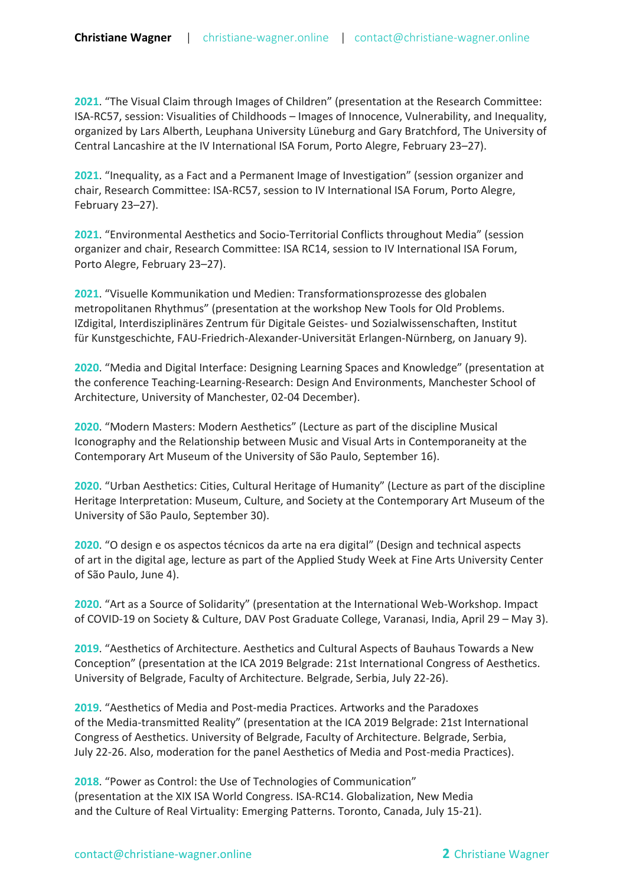**2021**. "The Visual Claim through Images of Children" (presentation at the Research Committee: ISA-RC57, session: Visualities of Childhoods – Images of Innocence, Vulnerability, and Inequality, organized by Lars Alberth, Leuphana University Lüneburg and Gary Bratchford, The University of Central Lancashire at the IV International ISA Forum, Porto Alegre, February 23–27).

**2021**. "Inequality, as a Fact and a Permanent Image of Investigation" (session organizer and chair, Research Committee: ISA-RC57, session to IV International ISA Forum, Porto Alegre, February 23–27).

**2021**. "Environmental Aesthetics and Socio-Territorial Conflicts throughout Media" (session organizer and chair, Research Committee: ISA RC14, session to IV International ISA Forum, Porto Alegre, February 23–27).

**2021**. "Visuelle Kommunikation und Medien: Transformationsprozesse des globalen metropolitanen Rhythmus" (presentation at the workshop New Tools for Old Problems. IZdigital, Interdisziplinäres Zentrum für Digitale Geistes- und Sozialwissenschaften, Institut für Kunstgeschichte, FAU-Friedrich-Alexander-Universität Erlangen-Nürnberg, on January 9).

**2020**. "Media and Digital Interface: Designing Learning Spaces and Knowledge" (presentation at the conference Teaching-Learning-Research: Design And Environments, Manchester School of Architecture, University of Manchester, 02-04 December).

**2020**. "Modern Masters: Modern Aesthetics" (Lecture as part of the discipline Musical Iconography and the Relationship between Music and Visual Arts in Contemporaneity at the Contemporary Art Museum of the University of São Paulo, September 16).

**2020**. "Urban Aesthetics: Cities, Cultural Heritage of Humanity" (Lecture as part of the discipline Heritage Interpretation: Museum, Culture, and Society at the Contemporary Art Museum of the University of São Paulo, September 30).

**2020**. "O design e os aspectos técnicos da arte na era digital" (Design and technical aspects of art in the digital age, lecture as part of the Applied Study Week at Fine Arts University Center of São Paulo, June 4).

**2020**. "Art as a Source of Solidarity" (presentation at the International Web-Workshop. Impact of COVID-19 on Society & Culture, DAV Post Graduate College, Varanasi, India, April 29 – May 3).

**2019**. "Aesthetics of Architecture. Aesthetics and Cultural Aspects of Bauhaus Towards a New Conception" (presentation at the ICA 2019 Belgrade: 21st International Congress of Aesthetics. University of Belgrade, Faculty of Architecture. Belgrade, Serbia, July 22-26).

**2019**. "Aesthetics of Media and Post-media Practices. Artworks and the Paradoxes of the Media-transmitted Reality" (presentation at the ICA 2019 Belgrade: 21st International Congress of Aesthetics. University of Belgrade, Faculty of Architecture. Belgrade, Serbia, July 22-26. Also, moderation for the panel Aesthetics of Media and Post-media Practices).

**2018**. "Power as Control: the Use of Technologies of Communication" (presentation at the XIX ISA World Congress. ISA-RC14. Globalization, New Media and the Culture of Real Virtuality: Emerging Patterns. Toronto, Canada, July 15-21).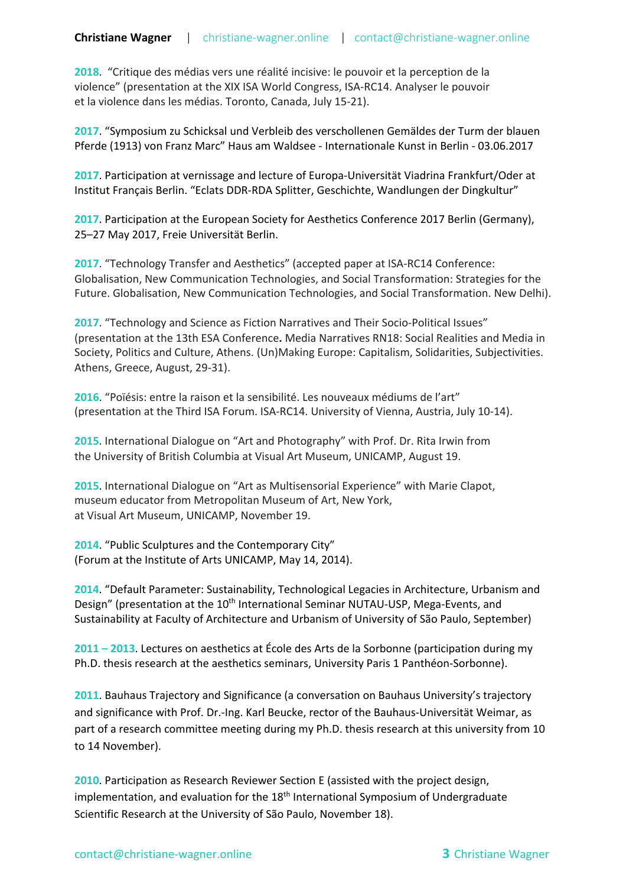**2018**. "Critique des médias vers une réalité incisive: le pouvoir et la perception de la violence" (presentation at the XIX ISA World Congress, ISA-RC14. Analyser le pouvoir et la violence dans les médias. Toronto, Canada, July 15-21).

**2017**. "Symposium zu Schicksal und Verbleib des verschollenen Gemäldes der Turm der blauen Pferde (1913) von Franz Marc" Haus am Waldsee - Internationale Kunst in Berlin - 03.06.2017

**2017**. Participation at vernissage and lecture of Europa-Universität Viadrina Frankfurt/Oder at Institut Français Berlin. "Eclats DDR-RDA Splitter, Geschichte, Wandlungen der Dingkultur"

**2017**. Participation at the European Society for Aesthetics Conference 2017 Berlin (Germany), 25–27 May 2017, Freie Universität Berlin.

**2017**. "Technology Transfer and Aesthetics" (accepted paper at ISA-RC14 Conference: Globalisation, New Communication Technologies, and Social Transformation: Strategies for the Future. Globalisation, New Communication Technologies, and Social Transformation. New Delhi).

**2017**. "Technology and Science as Fiction Narratives and Their Socio-Political Issues" (presentation at the 13th ESA Conference**.** Media Narratives RN18: Social Realities and Media in Society, Politics and Culture, Athens. (Un)Making Europe: Capitalism, Solidarities, Subjectivities. Athens, Greece, August, 29-31).

**2016**. "Poïésis: entre la raison et la sensibilité. Les nouveaux médiums de l'art" (presentation at the Third ISA Forum. ISA-RC14. University of Vienna, Austria, July 10-14).

**2015**. International Dialogue on "Art and Photography" with Prof. Dr. Rita Irwin from the University of British Columbia at Visual Art Museum, UNICAMP, August 19.

**2015**. International Dialogue on "Art as Multisensorial Experience" with Marie Clapot, museum educator from Metropolitan Museum of Art, New York, at Visual Art Museum, UNICAMP, November 19.

**2014**. "Public Sculptures and the Contemporary City" (Forum at the Institute of Arts UNICAMP, May 14, 2014).

**2014**. "Default Parameter: Sustainability, Technological Legacies in Architecture, Urbanism and Design" (presentation at the 10<sup>th</sup> International Seminar NUTAU-USP, Mega-Events, and Sustainability at Faculty of Architecture and Urbanism of University of São Paulo, September)

**2011 – 2013**. Lectures on aesthetics at École des Arts de la Sorbonne (participation during my Ph.D. thesis research at the aesthetics seminars, University Paris 1 Panthéon-Sorbonne).

2011. Bauhaus Trajectory and Significance (a conversation on Bauhaus University's trajectory and significance with Prof. Dr.-Ing. Karl Beucke, rector of the Bauhaus-Universität Weimar, as part of a research committee meeting during my Ph.D. thesis research at this university from 10 to 14 November).

**2010**. Participation as Research Reviewer Section E (assisted with the project design, implementation, and evaluation for the  $18<sup>th</sup>$  International Symposium of Undergraduate Scientific Research at the University of São Paulo, November 18).